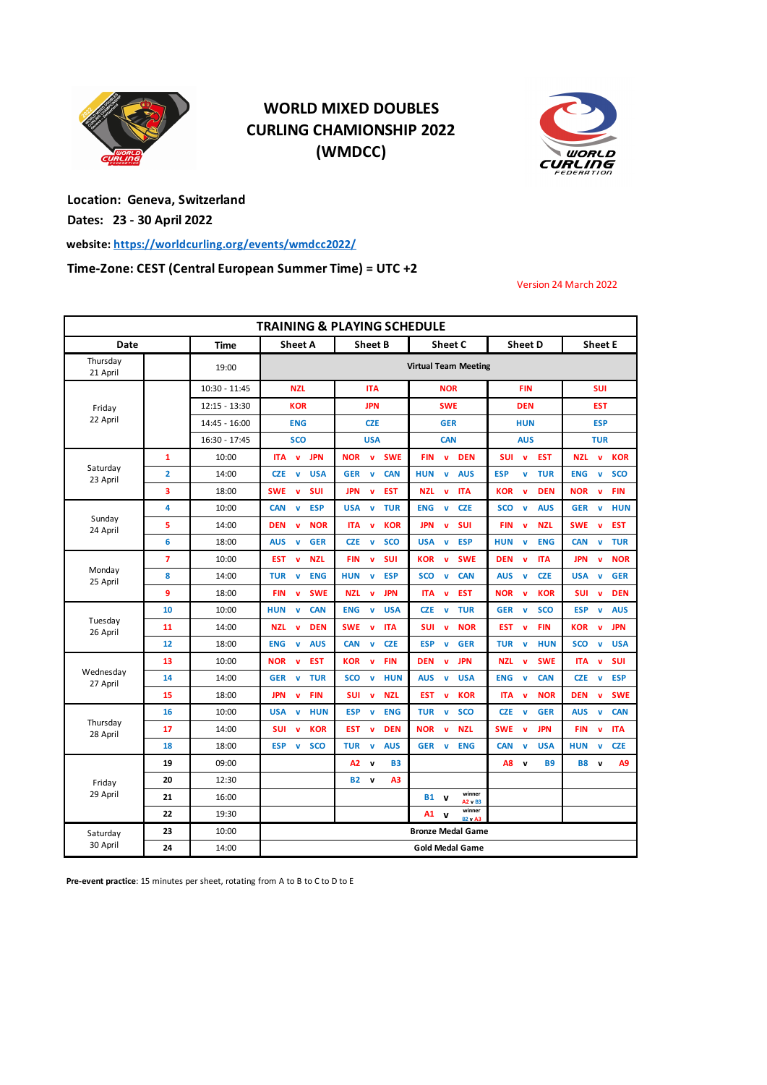

## **WORLD MIXED DOUBLES CURLING CHAMIONSHIP 2022 (WMDCC)**



**Location: Geneva, Switzerland Dates: 23 - 30 April 2022**

**website: https://worldcurling.org/events/wmdcc2022/**

**Time-Zone: CEST (Central European Summer Time) = UTC +2**

Version 24 March 2022

| <b>TRAINING &amp; PLAYING SCHEDULE</b> |                |                 |                                          |                                          |                                               |                                          |                                          |
|----------------------------------------|----------------|-----------------|------------------------------------------|------------------------------------------|-----------------------------------------------|------------------------------------------|------------------------------------------|
| Date                                   |                | Time            | <b>Sheet A</b>                           | <b>Sheet B</b>                           | Sheet C                                       | <b>Sheet D</b>                           | <b>Sheet E</b>                           |
| Thursday<br>21 April                   |                | 19:00           | <b>Virtual Team Meeting</b>              |                                          |                                               |                                          |                                          |
| Friday<br>22 April                     |                | 10:30 - 11:45   | <b>NZL</b>                               | <b>ITA</b>                               | <b>NOR</b>                                    | <b>FIN</b>                               | <b>SUI</b>                               |
|                                        |                | $12:15 - 13:30$ | <b>KOR</b>                               | <b>JPN</b>                               | <b>SWE</b>                                    | <b>DEN</b>                               | <b>EST</b>                               |
|                                        |                | 14:45 - 16:00   | <b>ENG</b>                               | <b>CZE</b>                               | <b>GER</b>                                    | <b>HUN</b>                               | <b>ESP</b>                               |
|                                        |                | 16:30 - 17:45   | <b>SCO</b>                               | <b>USA</b>                               | <b>CAN</b>                                    | <b>AUS</b>                               | <b>TUR</b>                               |
| Saturday<br>23 April                   | $\mathbf{1}$   | 10:00           | <b>JPN</b><br><b>ITA</b><br>$\mathbf{v}$ | <b>SWE</b><br><b>NOR</b><br>$\mathbf{v}$ | <b>FIN</b><br><b>DEN</b><br>v                 | <b>SUI</b><br>$\mathbf{v}$<br><b>EST</b> | <b>NZL</b><br>$\mathbf{v}$<br><b>KOR</b> |
|                                        | $\overline{2}$ | 14:00           | <b>USA</b><br><b>CZE</b><br>v            | <b>CAN</b><br><b>GER</b><br>$\mathbf{v}$ | <b>HUN</b><br><b>v</b><br><b>AUS</b>          | <b>TUR</b><br><b>ESP</b><br>v            | <b>ENG</b><br>v<br><b>SCO</b>            |
|                                        | 3              | 18:00           | <b>SWE</b><br><b>SUI</b><br>$\mathbf{v}$ | <b>JPN</b><br><b>EST</b><br>$\mathbf{v}$ | <b>NZL</b><br><b>ITA</b><br>v                 | <b>KOR</b><br><b>DEN</b><br>$\mathbf{v}$ | <b>NOR</b><br><b>FIN</b><br>v            |
| Sunday<br>24 April                     | 4              | 10:00           | <b>CAN</b><br><b>ESP</b><br>$\mathbf{v}$ | <b>USA</b><br><b>TUR</b><br>$\mathbf{v}$ | <b>ENG</b><br><b>CZE</b><br>$\mathbf{v}$      | <b>SCO</b><br><b>AUS</b><br>$\mathbf{v}$ | <b>GER</b><br><b>HUN</b><br>$\mathbf{v}$ |
|                                        | 5              | 14:00           | <b>DEN</b><br><b>NOR</b><br>$\mathbf{v}$ | <b>ITA</b><br><b>KOR</b><br>$\mathbf{v}$ | <b>SUI</b><br><b>JPN</b><br>v                 | <b>FIN</b><br><b>NZL</b><br>$\mathbf{v}$ | <b>SWE</b><br><b>EST</b><br>v            |
|                                        | 6              | 18:00           | <b>AUS</b><br><b>GER</b><br>v            | <b>CZE</b><br><b>SCO</b><br>$\mathbf v$  | <b>USA</b><br><b>ESP</b><br>v                 | <b>HUN</b><br><b>ENG</b><br>v            | <b>CAN</b><br><b>TUR</b><br>v            |
| Monday<br>25 April                     | 7              | 10:00           | <b>NZL</b><br><b>EST</b><br>$\mathbf{v}$ | <b>SUI</b><br><b>FIN</b><br>$\mathbf{v}$ | <b>KOR</b><br><b>SWE</b><br>$\mathbf{v}$      | <b>DEN</b><br><b>ITA</b><br>$\mathbf{v}$ | <b>JPN</b><br><b>NOR</b><br>$\mathbf{v}$ |
|                                        | 8              | 14:00           | <b>TUR</b><br><b>ENG</b><br>$\mathbf v$  | <b>HUN</b><br><b>ESP</b><br>v            | <b>SCO</b><br><b>CAN</b><br>$\mathbf{v}$      | <b>AUS</b><br><b>CZE</b><br>$\mathbf{v}$ | <b>USA</b><br><b>GER</b><br>$\mathbf v$  |
|                                        | 9              | 18:00           | <b>FIN</b><br><b>SWE</b><br>$\mathbf{v}$ | <b>JPN</b><br><b>NZL</b><br>$\mathbf{v}$ | <b>ITA</b><br><b>EST</b><br>$\mathbf{v}$      | <b>KOR</b><br><b>NOR</b><br>$\mathbf{v}$ | <b>SUI</b><br><b>DEN</b><br>v            |
| Tuesday<br>26 April                    | 10             | 10:00           | <b>CAN</b><br>HUN<br>$\mathbf{v}$        | <b>ENG</b><br><b>USA</b><br>$\mathbf{v}$ | <b>CZE</b><br><b>TUR</b><br>$\mathbf{v}$      | <b>GER</b><br><b>SCO</b><br>$\mathbf{v}$ | ESP<br>v<br><b>AUS</b>                   |
|                                        | 11             | 14:00           | <b>NZL</b><br><b>DEN</b><br>$\mathbf{v}$ | <b>SWE</b><br><b>ITA</b><br>$\mathbf{v}$ | <b>SUI</b><br><b>NOR</b><br>$\mathbf{v}$      | <b>EST</b><br><b>FIN</b><br>$\mathbf{v}$ | <b>KOR</b><br><b>JPN</b><br>v            |
|                                        | 12             | 18:00           | <b>ENG</b><br><b>AUS</b><br>$\mathbf{v}$ | <b>CAN</b><br>$\mathbf{v}$<br><b>CZE</b> | <b>ESP</b><br><b>GER</b><br>$\mathbf{v}$      | <b>TUR</b><br><b>HUN</b><br>$\mathbf{v}$ | <b>SCO</b><br>$\mathbf{v}$<br><b>USA</b> |
| Wednesday<br>27 April                  | 13             | 10:00           | <b>NOR</b><br><b>EST</b><br>$\mathbf{v}$ | <b>FIN</b><br><b>KOR</b><br>$\mathbf{v}$ | <b>DEN</b><br><b>JPN</b><br>v                 | <b>NZL</b><br><b>SWE</b><br>$\mathbf{v}$ | <b>ITA</b><br><b>SUI</b><br>v            |
|                                        | 14             | 14:00           | <b>GER</b><br><b>TUR</b><br>$\mathbf{v}$ | <b>SCO</b><br><b>HUN</b><br>$\mathbf{v}$ | <b>AUS</b><br><b>USA</b><br>$\mathbf{v}$      | <b>ENG</b><br><b>CAN</b><br>$\mathbf{v}$ | <b>CZE</b><br><b>ESP</b><br>v            |
|                                        | 15             | 18:00           | <b>JPN</b><br><b>FIN</b><br>$\mathbf{v}$ | SUI<br><b>NZL</b><br>$\mathbf{v}$        | <b>EST</b><br><b>KOR</b><br>$\mathbf{v}$      | <b>ITA</b><br><b>NOR</b><br>$\mathbf{v}$ | <b>DEN</b><br><b>SWE</b><br>$\mathbf v$  |
| Thursday<br>28 April                   | 16             | 10:00           | <b>USA</b><br>v<br><b>HUN</b>            | <b>ESP</b><br>$\mathbf{v}$<br><b>ENG</b> | <b>TUR</b><br><b>SCO</b><br>$\mathbf{v}$      | <b>CZE</b><br><b>GER</b><br>$\mathbf{v}$ | <b>AUS</b><br><b>CAN</b><br>v            |
|                                        | 17             | 14:00           | <b>SUI</b><br><b>KOR</b><br>v            | <b>EST</b><br><b>DEN</b><br>$\mathbf v$  | <b>NOR</b><br><b>NZL</b><br>v                 | <b>SWE</b><br><b>JPN</b><br>$\mathbf v$  | FIN<br><b>ITA</b><br>v                   |
|                                        | 18             | 18:00           | <b>ESP</b><br><b>SCO</b><br>v            | <b>AUS</b><br><b>TUR</b><br>v            | <b>GER</b><br><b>ENG</b><br>$\mathbf{v}$      | <b>CAN</b><br><b>USA</b><br>v            | <b>HUN</b><br><b>CZE</b><br>v            |
| Friday<br>29 April                     | 19             | 09:00           |                                          | A2<br>$\mathbf v$<br><b>B3</b>           |                                               | A8<br><b>B9</b><br>$\mathbf{v}$          | B8<br>A9<br>$\mathbf{v}$                 |
|                                        | 20             | 12:30           |                                          | A3<br><b>B2</b> v                        |                                               |                                          |                                          |
|                                        | 21             | 16:00           |                                          |                                          | winner<br><b>B1</b> v<br>A2 v B3              |                                          |                                          |
|                                        | 22             | 19:30           |                                          |                                          | winner<br>Α1<br>$\mathbf v$<br><b>B2 v A3</b> |                                          |                                          |
| Saturday                               | 23             | 10:00           |                                          |                                          | <b>Bronze Medal Game</b>                      |                                          |                                          |
| 30 April                               | 24             | 14:00           | <b>Gold Medal Game</b>                   |                                          |                                               |                                          |                                          |

**Pre-event practice**: 15 minutes per sheet, rotating from A to B to C to D to E